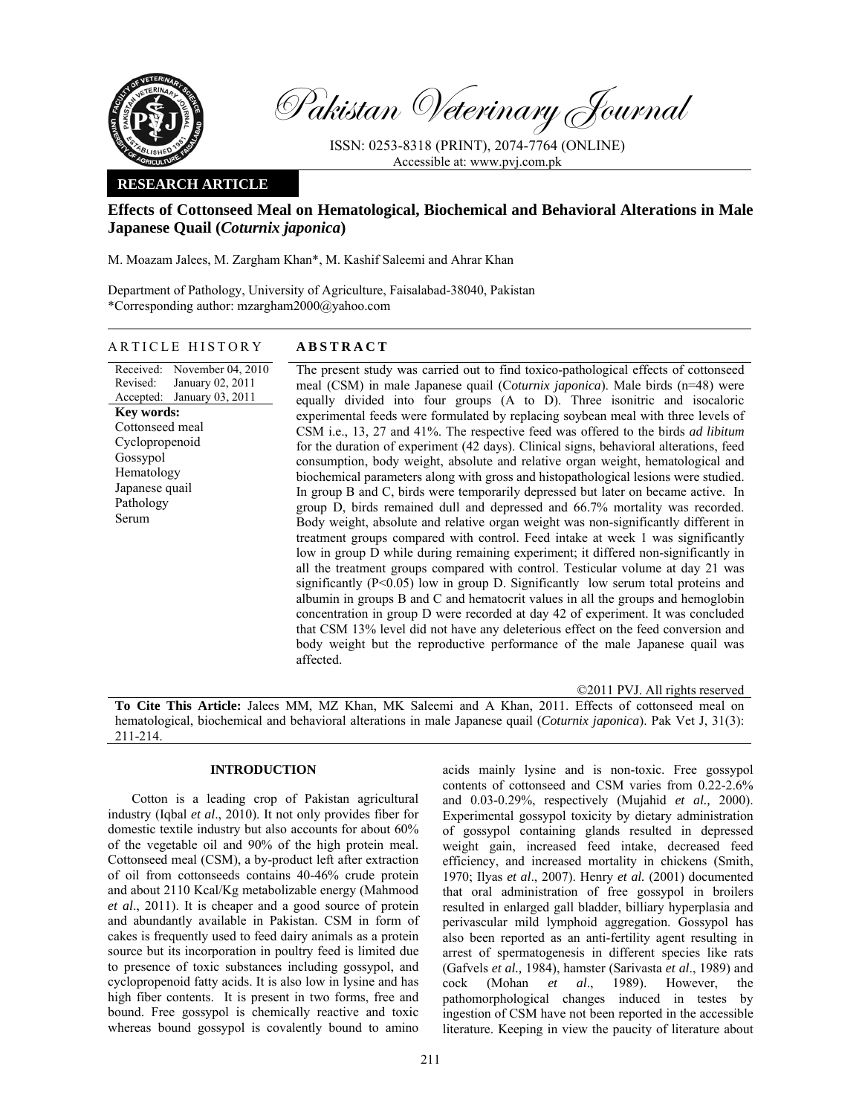

Pakistan Veterinary Journal

ISSN: 0253-8318 (PRINT), 2074-7764 (ONLINE) Accessible at: www.pvj.com.pk

# **RESEARCH ARTICLE**

# **Effects of Cottonseed Meal on Hematological, Biochemical and Behavioral Alterations in Male Japanese Quail (***Coturnix japonica***)**

M. Moazam Jalees, M. Zargham Khan\*, M. Kashif Saleemi and Ahrar Khan

Department of Pathology, University of Agriculture, Faisalabad-38040, Pakistan \*Corresponding author: mzargham2000@yahoo.com

ARTICLE HISTORY **ABSTRACT** 

### Received: Revised: Accepted: November 04, 2010 January 02, 2011 January 03, 2011 **Key words:**  Cottonseed meal Cyclopropenoid Gossypol Hematology Japanese quail Pathology Serum

The present study was carried out to find toxico-pathological effects of cottonseed meal (CSM) in male Japanese quail (C*oturnix japonica*). Male birds (n=48) were equally divided into four groups (A to D). Three isonitric and isocaloric experimental feeds were formulated by replacing soybean meal with three levels of CSM i.e., 13, 27 and 41%. The respective feed was offered to the birds *ad libitum* for the duration of experiment (42 days). Clinical signs, behavioral alterations, feed consumption, body weight, absolute and relative organ weight, hematological and biochemical parameters along with gross and histopathological lesions were studied. In group B and C, birds were temporarily depressed but later on became active. In group D, birds remained dull and depressed and 66.7% mortality was recorded. Body weight, absolute and relative organ weight was non-significantly different in treatment groups compared with control. Feed intake at week 1 was significantly low in group D while during remaining experiment; it differed non-significantly in all the treatment groups compared with control. Testicular volume at day 21 was significantly (P<0.05) low in group D. Significantly low serum total proteins and albumin in groups B and C and hematocrit values in all the groups and hemoglobin concentration in group D were recorded at day 42 of experiment. It was concluded that CSM 13% level did not have any deleterious effect on the feed conversion and body weight but the reproductive performance of the male Japanese quail was affected.

©2011 PVJ. All rights reserved

**To Cite This Article:** Jalees MM, MZ Khan, MK Saleemi and A Khan, 2011. Effects of cottonseed meal on hematological, biochemical and behavioral alterations in male Japanese quail (*Coturnix japonica*). Pak Vet J, 31(3): 211-214.

# **INTRODUCTION**

Cotton is a leading crop of Pakistan agricultural industry (Iqbal *et al*., 2010). It not only provides fiber for domestic textile industry but also accounts for about 60% of the vegetable oil and 90% of the high protein meal. Cottonseed meal (CSM), a by-product left after extraction of oil from cottonseeds contains 40-46% crude protein and about 2110 Kcal/Kg metabolizable energy (Mahmood *et al*., 2011). It is cheaper and a good source of protein and abundantly available in Pakistan. CSM in form of cakes is frequently used to feed dairy animals as a protein source but its incorporation in poultry feed is limited due to presence of toxic substances including gossypol, and cyclopropenoid fatty acids. It is also low in lysine and has high fiber contents. It is present in two forms, free and bound. Free gossypol is chemically reactive and toxic whereas bound gossypol is covalently bound to amino

acids mainly lysine and is non-toxic. Free gossypol contents of cottonseed and CSM varies from 0.22-2.6% and 0.03-0.29%, respectively (Mujahid *et al.,* 2000). Experimental gossypol toxicity by dietary administration of gossypol containing glands resulted in depressed weight gain, increased feed intake, decreased feed efficiency, and increased mortality in chickens (Smith, 1970; Ilyas *et al*., 2007). Henry *et al.* (2001) documented that oral administration of free gossypol in broilers resulted in enlarged gall bladder, billiary hyperplasia and perivascular mild lymphoid aggregation. Gossypol has also been reported as an anti-fertility agent resulting in arrest of spermatogenesis in different species like rats (Gafvels *et al.,* 1984), hamster (Sarivasta *et al*., 1989) and cock (Mohan *et al*., 1989). However, the pathomorphological changes induced in testes by ingestion of CSM have not been reported in the accessible literature. Keeping in view the paucity of literature about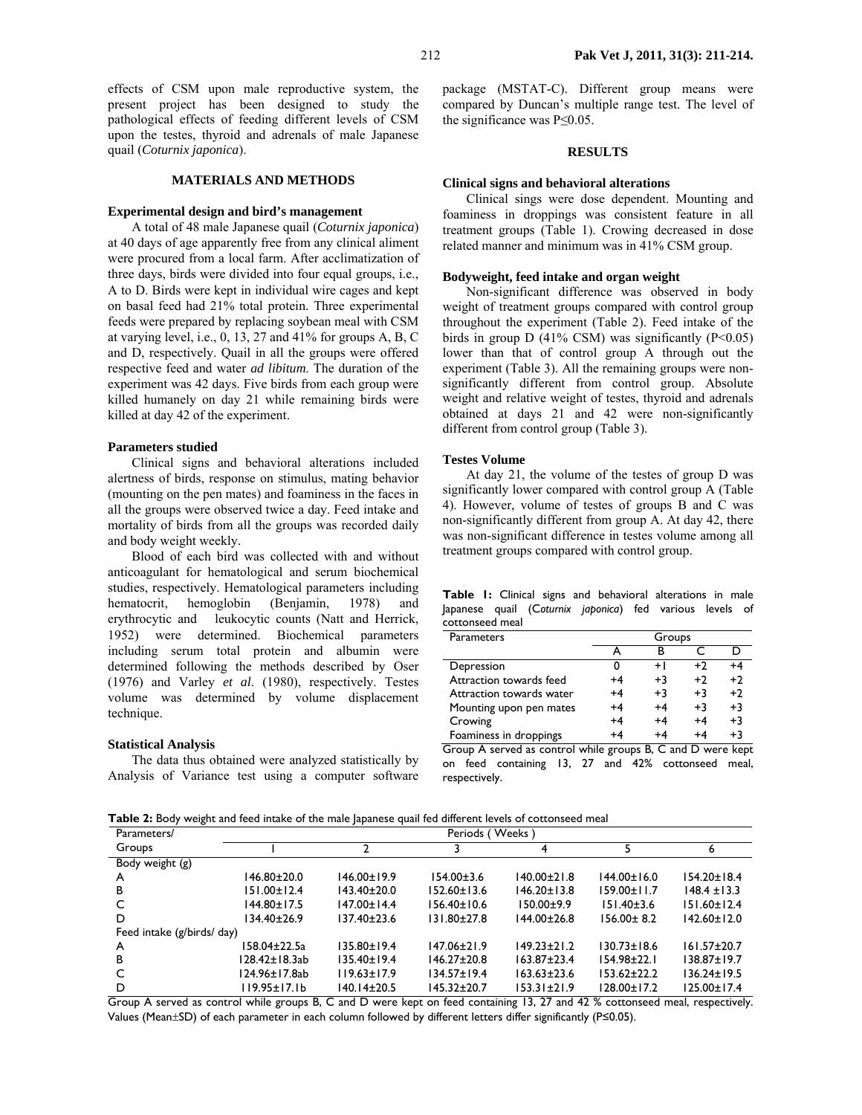effects of CSM upon male reproductive system, the present project has been designed to study the pathological effects of feeding different levels of CSM upon the testes, thyroid and adrenals of male Japanese quail (*Coturnix japonica*).

### **MATERIALS AND METHODS**

#### **Experimental design and bird's management**

A total of 48 male Japanese quail (*Coturnix japonica*) at 40 days of age apparently free from any clinical aliment were procured from a local farm. After acclimatization of three days, birds were divided into four equal groups, i.e., A to D. Birds were kept in individual wire cages and kept on basal feed had 21% total protein. Three experimental feeds were prepared by replacing soybean meal with CSM at varying level, i.e., 0, 13, 27 and 41% for groups A, B, C and D, respectively. Quail in all the groups were offered respective feed and water *ad libitum*. The duration of the experiment was 42 days. Five birds from each group were killed humanely on day 21 while remaining birds were killed at day 42 of the experiment.

#### **Parameters studied**

Clinical signs and behavioral alterations included alertness of birds, response on stimulus, mating behavior (mounting on the pen mates) and foaminess in the faces in all the groups were observed twice a day. Feed intake and mortality of birds from all the groups was recorded daily and body weight weekly.

Blood of each bird was collected with and without anticoagulant for hematological and serum biochemical studies, respectively. Hematological parameters including hematocrit, hemoglobin (Benjamin, 1978) and erythrocytic and leukocytic counts (Natt and Herrick, 1952) were determined. Biochemical parameters including serum total protein and albumin were determined following the methods described by Oser (1976) and Varley *et al*. (1980), respectively. Testes volume was determined by volume displacement technique.

#### **Statistical Analysis**

The data thus obtained were analyzed statistically by Analysis of Variance test using a computer software package (MSTAT-C). Different group means were compared by Duncan's multiple range test. The level of the significance was P≤0.05.

### **RESULTS**

#### **Clinical signs and behavioral alterations**

Clinical sings were dose dependent. Mounting and foaminess in droppings was consistent feature in all treatment groups (Table 1). Crowing decreased in dose related manner and minimum was in 41% CSM group.

#### **Bodyweight, feed intake and organ weight**

Non-significant difference was observed in body weight of treatment groups compared with control group throughout the experiment (Table 2). Feed intake of the birds in group D (41% CSM) was significantly  $(P<0.05)$ lower than that of control group A through out the experiment (Table 3). All the remaining groups were nonsignificantly different from control group. Absolute weight and relative weight of testes, thyroid and adrenals obtained at days 21 and 42 were non-significantly different from control group (Table 3).

### **Testes Volume**

At day 21, the volume of the testes of group D was significantly lower compared with control group A (Table 4). However, volume of testes of groups B and C was non-significantly different from group A. At day 42, there was non-significant difference in testes volume among all treatment groups compared with control group.

**Table 1:** Clinical signs and behavioral alterations in male Japanese quail (C*oturnix japonica*) fed various levels of cottonseed meal

| <b>Parameters</b>                                                          | Groups |      |                   |      |
|----------------------------------------------------------------------------|--------|------|-------------------|------|
|                                                                            |        |      |                   |      |
| Depression                                                                 | 0      | $+1$ | $+2$              | +4   |
| Attraction towards feed                                                    | $+4$   | $+3$ | $+2$              | $+2$ |
| Attraction towards water                                                   | $+4$   | $+3$ | $+3$              | $+2$ |
| Mounting upon pen mates                                                    | $+4$   | +4   | $+3$              | $+3$ |
| Crowing                                                                    | $+4$   | +4   | $+4$              | $+3$ |
| Foaminess in droppings                                                     | $+4$   | +4   | $+4$              | $+3$ |
| $C_{\text{max}}$ $\Lambda$ is a smooth as is a small colored in section of |        | D.   | حمال مسمنات المسم |      |

Group A served as control while groups B, C and D were kept on feed containing 13, 27 and 42% cottonseed meal, respectively.

Table 2: Body weight and feed intake of the male |apanese quail fed different levels of cottonseed meal

|                            |                      | . .               |                   |                   |                   |                   |
|----------------------------|----------------------|-------------------|-------------------|-------------------|-------------------|-------------------|
| Parameters/                | Weeks \<br>Periods ( |                   |                   |                   |                   |                   |
| Groups                     |                      |                   |                   |                   |                   | ь                 |
| Body weight (g)            |                      |                   |                   |                   |                   |                   |
| A                          | $146.80 \pm 20.0$    | $146.00 \pm 19.9$ | $154.00 \pm 3.6$  | $140.00 \pm 21.8$ | $144.00 \pm 16.0$ | $154.20 \pm 18.4$ |
| B                          | $151.00 \pm 12.4$    | 143.40±20.0       | $152.60 \pm 13.6$ | $146.20 \pm 13.8$ | $159.00 \pm 11.7$ | $148.4 \pm 13.3$  |
| C                          | 144.80±17.5          | $147.00 \pm 14.4$ | $156.40 \pm 10.6$ | $150.00+9.9$      | $151.40 \pm 3.6$  | $151.60 \pm 12.4$ |
| D                          | 134.40±26.9          | 137.40±23.6       | $131.80 \pm 27.8$ | $144.00 \pm 26.8$ | $156.00 \pm 8.2$  | $142.60 \pm 12.0$ |
| Feed intake (g/birds/ day) |                      |                   |                   |                   |                   |                   |
| A                          | 158.04±22.5a         | 135.80±19.4       | $147.06 \pm 21.9$ | $149.23 \pm 21.2$ | $130.73 \pm 18.6$ | $161.57 \pm 20.7$ |
| B                          | 128.42±18.3ab        | $135.40 \pm 19.4$ | $146.27 \pm 20.8$ | $163.87 \pm 23.4$ | $154.98 \pm 22.1$ | $138.87 \pm 19.7$ |
| C                          | 124.96±17.8ab        | 119.63±17.9       | $134.57 \pm 19.4$ | $163.63 \pm 23.6$ | $153.62 \pm 22.2$ | $136.24 \pm 19.5$ |
| D                          | $119.95 \pm 17.1b$   | 140.14±20.5       | 145.32±20.7       | 153.31±21.9       | $128.00 \pm 17.2$ | $125.00 \pm 17.4$ |

Group A served as control while groups B, C and D were kept on feed containing 13, 27 and 42 % cottonseed meal, respectively. Values (Mean±SD) of each parameter in each column followed by different letters differ significantly (P≤0.05).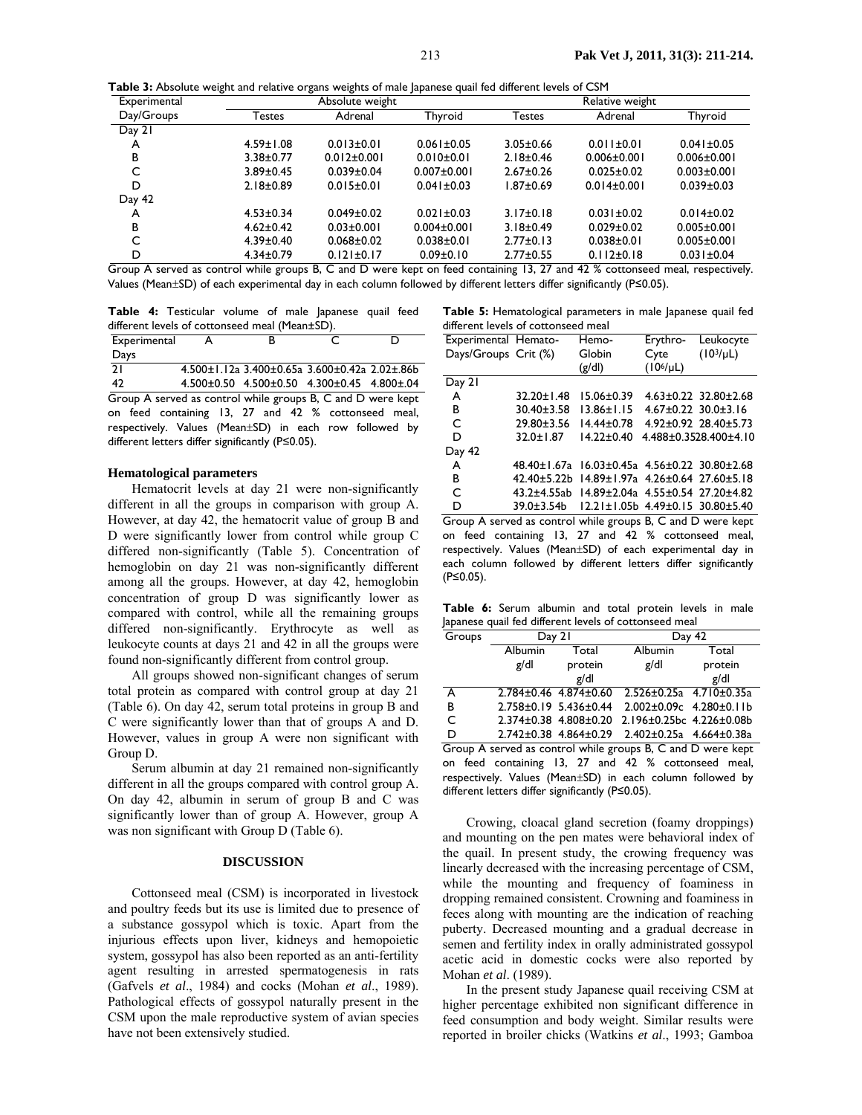Table 3: Absolute weight and relative organs weights of male Japanese quail fed different levels of CSM

| Experimental |                      | -<br>ີ<br>. .<br>Absolute weight |                   | Relative weight                         |                   |                   |
|--------------|----------------------|----------------------------------|-------------------|-----------------------------------------|-------------------|-------------------|
| Day/Groups   | <b>Festes</b>        | Adrenal                          | Thyroid           | Testes                                  | Adrenal           | Thyroid           |
| Day 21       |                      |                                  |                   |                                         |                   |                   |
| A            | $4.59 \pm 1.08$      | $0.013 \pm 0.01$                 | $0.061 \pm 0.05$  | $3.05 \pm 0.66$                         | $0.011 \pm 0.01$  | $0.041 \pm 0.05$  |
| в            | $3.38 \pm 0.77$      | $0.012 \pm 0.001$                | $0.010 \pm 0.01$  | $2.18 \pm 0.46$                         | $0.006 \pm 0.001$ | $0.006 \pm 0.001$ |
|              | $3.89 \pm 0.45$      | $0.039 + 0.04$                   | $0.007 \pm 0.001$ | $2.67 \pm 0.26$                         | $0.025 + 0.02$    | $0.003 \pm 0.001$ |
| D            | $2.18 \pm 0.89$      | $0.015 \pm 0.01$                 | $0.041 \pm 0.03$  | 1.87+0.69                               | $0.014 \pm 0.001$ | $0.039 \pm 0.03$  |
| Day 42       |                      |                                  |                   |                                         |                   |                   |
| A            | $4.53 \pm 0.34$      | $0.049 \pm 0.02$                 | $0.021 \pm 0.03$  | $3.17 \pm 0.18$                         | $0.031 \pm 0.02$  | $0.014 \pm 0.02$  |
| в            | $4.62 \pm 0.42$      | $0.03 \pm 0.001$                 | $0.004 \pm 0.001$ | $3.18 \pm 0.49$                         | $0.029 \pm 0.02$  | $0.005 \pm 0.001$ |
|              | $4.39 \pm 0.40$      | $0.068 \pm 0.02$                 | $0.038 + 0.01$    | $2.77 \pm 0.13$                         | $0.038 + 0.01$    | $0.005 \pm 0.001$ |
| D            | $4.34 \pm 0.79$<br>. | $0.121 \pm 0.17$                 | $0.09 \pm 0.10$   | $2.77 \pm 0.55$<br>$\sim$ $\sim$ $\sim$ | $0.112 \pm 0.18$  | $0.031 \pm 0.04$  |

Group A served as control while groups B, C and D were kept on feed containing 13, 27 and 42 % cottonseed meal, respectively. Values (Mean±SD) of each experimental day in each column followed by different letters differ significantly (P≤0.05).

**Table 4:** Testicular volume of male Japanese quail feed different levels of cottonseed meal (Mean±SD).

| Experimental                                                |  |                                               |  |
|-------------------------------------------------------------|--|-----------------------------------------------|--|
| Days                                                        |  |                                               |  |
| 21                                                          |  | 4.500±1.12a 3.400±0.65a 3.600±0.42a 2.02±.86b |  |
| -42                                                         |  | 4.500±0.50 4.500±0.50 4.300±0.45 4.800±.04    |  |
| Group A served as control while groups B, C and D were kept |  |                                               |  |

on feed containing 13, 27 and 42 % cottonseed meal, respectively. Values (Mean±SD) in each row followed by different letters differ significantly (P≤0.05).

### **Hematological parameters**

Hematocrit levels at day 21 were non-significantly different in all the groups in comparison with group A. However, at day 42, the hematocrit value of group B and D were significantly lower from control while group C differed non-significantly (Table 5). Concentration of hemoglobin on day 21 was non-significantly different among all the groups. However, at day 42, hemoglobin concentration of group D was significantly lower as compared with control, while all the remaining groups differed non-significantly. Erythrocyte as well as leukocyte counts at days 21 and 42 in all the groups were found non-significantly different from control group.

All groups showed non-significant changes of serum total protein as compared with control group at day 21 (Table 6). On day 42, serum total proteins in group B and C were significantly lower than that of groups A and D. However, values in group A were non significant with Group D.

Serum albumin at day 21 remained non-significantly different in all the groups compared with control group A. On day 42, albumin in serum of group B and C was significantly lower than of group A. However, group A was non significant with Group D (Table 6).

#### **DISCUSSION**

Cottonseed meal (CSM) is incorporated in livestock and poultry feeds but its use is limited due to presence of a substance gossypol which is toxic. Apart from the injurious effects upon liver, kidneys and hemopoietic system, gossypol has also been reported as an anti-fertility agent resulting in arrested spermatogenesis in rats (Gafvels *et al*., 1984) and cocks (Mohan *et al*., 1989). Pathological effects of gossypol naturally present in the CSM upon the male reproductive system of avian species have not been extensively studied.

**Table 5:** Hematological parameters in male Japanese quail fed different levels of cottonseed meal

| Experimental Hemato-                                        |                    | Hemo-                                               | Erythro-                    | Leukocyte                        |
|-------------------------------------------------------------|--------------------|-----------------------------------------------------|-----------------------------|----------------------------------|
| Days/Groups Crit (%)                                        |                    | Globin                                              | Cyte                        | $(103/\mu L)$                    |
|                                                             |                    | (g/d)                                               | $(106/\mu L)$               |                                  |
| Day 21                                                      |                    |                                                     |                             |                                  |
| A                                                           | $32.20 \pm 1.48$   | $15.06 \pm 0.39$                                    |                             | $4.63 \pm 0.22$ 32.80 $\pm$ 2.68 |
| в                                                           | $30.40 \pm 3.58$   | $13.86 \pm 1.15$                                    | $4.67 \pm 0.22$ 30.0 ± 3.16 |                                  |
| C                                                           | $29.80 \pm 3.56$   | $14.44 \pm 0.78$                                    |                             | $4.92 \pm 0.92$ 28.40 $\pm$ 5.73 |
| D                                                           | $32.0 \pm 1.87$    | $14.22 \pm 0.40$                                    |                             | 4.488±0.3528.400±4.10            |
| Day 42                                                      |                    |                                                     |                             |                                  |
| A                                                           | 48.40±1.67a        | $16.03 \pm 0.45a$ 4.56 $\pm$ 0.22 30.80 $\pm$ 2.68  |                             |                                  |
| в                                                           | $42.40 \pm 5.22$ b | $14.89 \pm 1.97$ a $4.26 \pm 0.64$ 27.60 $\pm$ 5.18 |                             |                                  |
| C                                                           | $43.2 + 4.55ab$    | 14.89±2.04a 4.55±0.54 27.20±4.82                    |                             |                                  |
| D                                                           |                    | 39.0±3.54b 12.21±1.05b 4.49±0.15 30.80±5.40         |                             |                                  |
| Group A served as control while groups B, C and D were kept |                    |                                                     |                             |                                  |

on feed containing 13, 27 and 42 % cottonseed meal, respectively. Values (Mean±SD) of each experimental day in each column followed by different letters differ significantly (P≤0.05).

**Table 6:** Serum albumin and total protein levels in male Japanese quail fed different levels of cottonseed meal

| Groups                                                      | Day 21                |                                 | Day 42                                        |         |  |
|-------------------------------------------------------------|-----------------------|---------------------------------|-----------------------------------------------|---------|--|
|                                                             | <b>Albumin</b>        | Total                           | Albumin                                       | Total   |  |
|                                                             | g/dl                  | protein                         | g/dl                                          | protein |  |
|                                                             |                       | g/dl                            |                                               | g/dl    |  |
| A                                                           | 2.784±0.46 4.874±0.60 |                                 | $2.526 \pm 0.25a$ 4.710 $\pm$ 0.35a           |         |  |
| B                                                           | 2.758±0.19 5.436±0.44 |                                 | $2.002 \pm 0.09c$ 4.280 $\pm$ 0.11b           |         |  |
| C                                                           |                       | $2.374\pm0.38$ 4.808 $\pm$ 0.20 | 2.196±0.25bc 4.226±0.08b                      |         |  |
| D                                                           |                       |                                 | 2.742±0.38 4.864±0.29 2.402±0.25a 4.664±0.38a |         |  |
| Group A served as control while groups B, C and D were kept |                       |                                 |                                               |         |  |

on feed containing 13, 27 and 42 % cottonseed meal, respectively. Values (Mean±SD) in each column followed by different letters differ significantly (P≤0.05).

Crowing, cloacal gland secretion (foamy droppings) and mounting on the pen mates were behavioral index of the quail. In present study, the crowing frequency was linearly decreased with the increasing percentage of CSM, while the mounting and frequency of foaminess in dropping remained consistent. Crowning and foaminess in feces along with mounting are the indication of reaching puberty. Decreased mounting and a gradual decrease in semen and fertility index in orally administrated gossypol acetic acid in domestic cocks were also reported by Mohan *et al*. (1989).

In the present study Japanese quail receiving CSM at higher percentage exhibited non significant difference in feed consumption and body weight. Similar results were reported in broiler chicks (Watkins *et al*., 1993; Gamboa